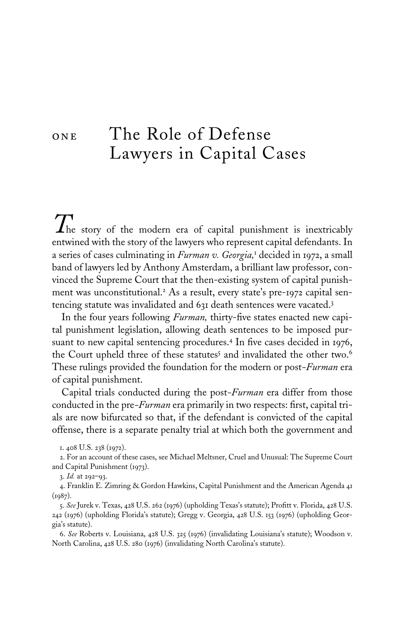## one The Role of Defense Lawyers in Capital Cases

The story of the modern era of capital punishment is inextricably entwined with the story of the lawyers who represent capital defendants. In a series of cases culminating in *Furman v. Georgia,*<sup>1</sup> decided in 1972, a small band of lawyers led by Anthony Amsterdam, a brilliant law professor, convinced the Supreme Court that the then-existing system of capital punishment was unconstitutional.<sup>2</sup> As a result, every state's pre-1972 capital sentencing statute was invalidated and 631 death sentences were vacated.3

In the four years following *Furman*, thirty-five states enacted new capital punishment legislation, allowing death sentences to be imposed pursuant to new capital sentencing procedures.<sup>4</sup> In five cases decided in 1976, the Court upheld three of these statutes<sup>5</sup> and invalidated the other two.<sup>6</sup> These rulings provided the foundation for the modern or post*-Furman* era of capital punishment.

Capital trials conducted during the post*-Furman* era differ from those conducted in the pre-*Furman* era primarily in two respects: first, capital trials are now bifurcated so that, if the defendant is convicted of the capital offense, there is a separate penalty trial at which both the government and

1. 408 U.S. 238 (1972).

2. For an account of these cases, see Michael Meltsner, Cruel and Unusual: The Supreme Court and Capital Punishment (1973).

3. *Id.* at 292–93.

4. Franklin E. Zimring & Gordon Hawkins, Capital Punishment and the American Agenda 41  $(1987).$ 

5. See Jurek v. Texas, 428 U.S. 262 (1976) (upholding Texas's statute); Profitt v. Florida, 428 U.S. 242 (1976) (upholding Florida's statute); Gregg v. Georgia, 428 U.S. 153 (1976) (upholding Georgia's statute).

6. *See* Roberts v. Louisiana, 428 U.S. 325 (1976) (invalidating Louisiana's statute); Woodson v. North Carolina, 428 U.S. 280 (1976) (invalidating North Carolina's statute).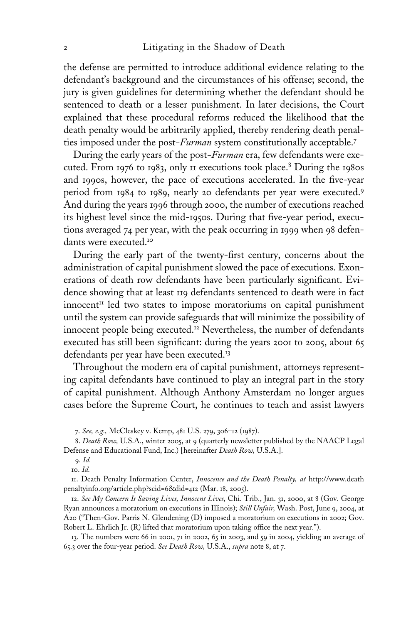the defense are permitted to introduce additional evidence relating to the defendant's background and the circumstances of his offense; second, the jury is given guidelines for determining whether the defendant should be sentenced to death or a lesser punishment. In later decisions, the Court explained that these procedural reforms reduced the likelihood that the death penalty would be arbitrarily applied, thereby rendering death penalties imposed under the post*-Furman* system constitutionally acceptable.7

During the early years of the post*-Furman* era, few defendants were executed. From 1976 to 1983, only 11 executions took place.8 During the 1980s and 1990s, however, the pace of executions accelerated. In the five-year period from 1984 to 1989, nearly 20 defendants per year were executed.9 And during the years 1996 through 2000, the number of executions reached its highest level since the mid-1950s. During that five-year period, executions averaged 74 per year, with the peak occurring in 1999 when 98 defendants were executed.<sup>10</sup>

During the early part of the twenty-first century, concerns about the administration of capital punishment slowed the pace of executions. Exonerations of death row defendants have been particularly significant. Evidence showing that at least 119 defendants sentenced to death were in fact innocent<sup>II</sup> led two states to impose moratoriums on capital punishment until the system can provide safeguards that will minimize the possibility of innocent people being executed.12 Nevertheless, the number of defendants executed has still been significant: during the years 2001 to 2005, about 65 defendants per year have been executed.<sup>13</sup>

Throughout the modern era of capital punishment, attorneys representing capital defendants have continued to play an integral part in the story of capital punishment. Although Anthony Amsterdam no longer argues cases before the Supreme Court, he continues to teach and assist lawyers

12. *See My Concern Is Saving Lives, Innocent Lives,* Chi. Trib., Jan. 31, 2000, at 8 (Gov. George Ryan announces a moratorium on executions in Illinois); *Still Unfair,* Wash. Post, June 9, 2004, at A20 ("Then-Gov. Parris N. Glendening (D) imposed a moratorium on executions in 2002; Gov. Robert L. Ehrlich Jr. (R) lifted that moratorium upon taking office the next year.").

13. The numbers were 66 in 2001, 71 in 2002, 65 in 2003, and 59 in 2004, yielding an average of 65.3 over the four-year period. *See Death Row,* U.S.A., *supra* note 8, at 7.

<sup>7.</sup> *See, e.g.,* McCleskey v. Kemp, 481 U.S. 279, 306–12 (1987).

<sup>8.</sup> *Death Row,* U.S.A., winter 2005, at 9 (quarterly newsletter published by the NAACP Legal Defense and Educational Fund, Inc.) [hereinafter *Death Row,* U.S.A.].

<sup>9.</sup> *Id.*

<sup>10.</sup> *Id.*

<sup>11.</sup> Death Penalty Information Center, *Innocence and the Death Penalty, at* http://www.death penaltyinfo.org/article.php?scid=6&did=412 (Mar. 18, 2005).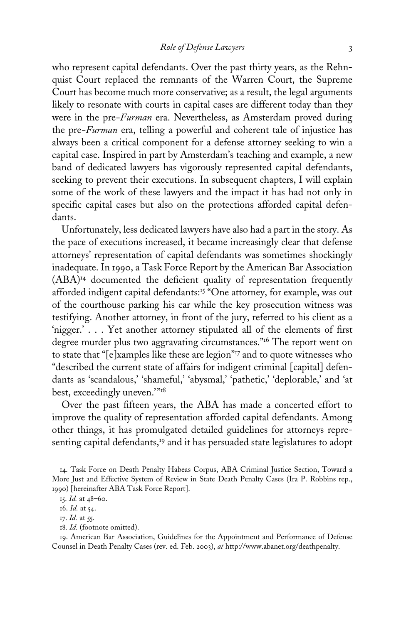who represent capital defendants. Over the past thirty years, as the Rehnquist Court replaced the remnants of the Warren Court, the Supreme Court has become much more conservative; as a result, the legal arguments likely to resonate with courts in capital cases are different today than they were in the pre*-Furman* era. Nevertheless, as Amsterdam proved during the pre*-Furman* era, telling a powerful and coherent tale of injustice has always been a critical component for a defense attorney seeking to win a capital case. Inspired in part by Amsterdam's teaching and example, a new band of dedicated lawyers has vigorously represented capital defendants, seeking to prevent their executions. In subsequent chapters, I will explain some of the work of these lawyers and the impact it has had not only in specific capital cases but also on the protections afforded capital defendants.

Unfortunately, less dedicated lawyers have also had a part in the story. As the pace of executions increased, it became increasingly clear that defense attorneys' representation of capital defendants was sometimes shockingly inadequate. In 1990, a Task Force Report by the American Bar Association  $(ABA)^{14}$  documented the deficient quality of representation frequently afforded indigent capital defendants:15 "One attorney, for example, was out of the courthouse parking his car while the key prosecution witness was testifying. Another attorney, in front of the jury, referred to his client as a 'nigger.' . . . Yet another attorney stipulated all of the elements of first degree murder plus two aggravating circumstances."<sup>16</sup> The report went on to state that "[e]xamples like these are legion"<sup>17</sup> and to quote witnesses who "described the current state of affairs for indigent criminal [capital] defendants as 'scandalous,' 'shameful,' 'abysmal,' 'pathetic,' 'deplorable,' and 'at best, exceedingly uneven.'"18

Over the past fifteen years, the ABA has made a concerted effort to improve the quality of representation afforded capital defendants. Among other things, it has promulgated detailed guidelines for attorneys representing capital defendants,<sup>19</sup> and it has persuaded state legislatures to adopt

18. *Id.* (footnote omitted).

19. American Bar Association, Guidelines for the Appointment and Performance of Defense Counsel in Death Penalty Cases (rev. ed. Feb. 2003), *at* http://www.abanet.org/deathpenalty.

<sup>14.</sup> Task Force on Death Penalty Habeas Corpus, ABA Criminal Justice Section, Toward a More Just and Effective System of Review in State Death Penalty Cases (Ira P. Robbins rep., 1990) [hereinafter ABA Task Force Report].

<sup>15.</sup> *Id.* at 48–60.

<sup>16.</sup> *Id.* at 54.

<sup>17.</sup> *Id.* at 55.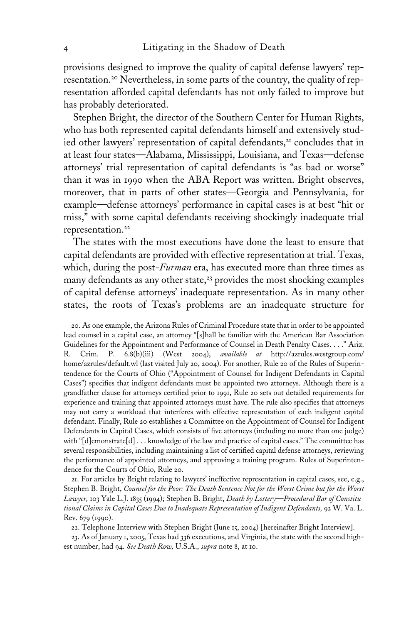provisions designed to improve the quality of capital defense lawyers' representation.<sup>20</sup> Nevertheless, in some parts of the country, the quality of representation afforded capital defendants has not only failed to improve but has probably deteriorated.

Stephen Bright, the director of the Southern Center for Human Rights, who has both represented capital defendants himself and extensively studied other lawyers' representation of capital defendants,<sup>21</sup> concludes that in at least four states—Alabama, Mississippi, Louisiana, and Texas—defense attorneys' trial representation of capital defendants is "as bad or worse" than it was in 1990 when the ABA Report was written. Bright observes, moreover, that in parts of other states—Georgia and Pennsylvania, for example—defense attorneys' performance in capital cases is at best "hit or miss," with some capital defendants receiving shockingly inadequate trial representation.<sup>22</sup>

The states with the most executions have done the least to ensure that capital defendants are provided with effective representation at trial. Texas, which, during the post*-Furman* era, has executed more than three times as many defendants as any other state,<sup>23</sup> provides the most shocking examples of capital defense attorneys' inadequate representation. As in many other states, the roots of Texas's problems are an inadequate structure for

20. As one example, the Arizona Rules of Criminal Procedure state that in order to be appointed lead counsel in a capital case, an attorney "[s]hall be familiar with the American Bar Association Guidelines for the Appointment and Performance of Counsel in Death Penalty Cases. . . ." Ariz. R. Crim. P. 6.8(b)(iii) (West 2004), *available at* http://azrules.westgroup.com/ home/azrules/default.wl (last visited July 20, 2004). For another, Rule 20 of the Rules of Superintendence for the Courts of Ohio ("Appointment of Counsel for Indigent Defendants in Capital Cases") specifies that indigent defendants must be appointed two attorneys. Although there is a grandfather clause for attorneys certified prior to 1991, Rule 20 sets out detailed requirements for experience and training that appointed attorneys must have. The rule also specifies that attorneys may not carry a workload that interferes with effective representation of each indigent capital defendant. Finally, Rule 20 establishes a Committee on the Appointment of Counsel for Indigent Defendants in Capital Cases, which consists of five attorneys (including no more than one judge) with "[d]emonstrate[d] . . . knowledge of the law and practice of capital cases." The committee has several responsibilities, including maintaining a list of certified capital defense attorneys, reviewing the performance of appointed attorneys, and approving a training program. Rules of Superintendence for the Courts of Ohio, Rule 20.

21. For articles by Bright relating to lawyers' ineffective representation in capital cases, see, e.g., Stephen B. Bright, *Counsel for the Poor: The Death Sentence Not for the Worst Crime but for the Worst Lawyer,* 103 Yale L.J. 1835 (1994); Stephen B. Bright, *Death by Lottery—Procedural Bar of Constitutional Claims in Capital Cases Due to Inadequate Representation of Indigent Defendants,* 92 W. Va. L. Rev. 679 (1990).

22. Telephone Interview with Stephen Bright (June 15, 2004) [hereinafter Bright Interview].

23. As of January 1, 2005, Texas had 336 executions, and Virginia, the state with the second highest number, had 94. *See Death Row,* U.S.A., *supra* note 8, at 10.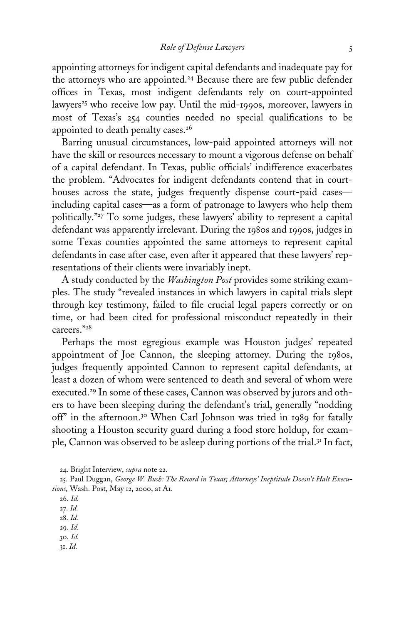appointing attorneys for indigent capital defendants and inadequate pay for the attorneys who are appointed.<sup>24</sup> Because there are few public defender offices in Texas, most indigent defendants rely on court-appointed lawyers<sup>25</sup> who receive low pay. Until the mid-1990s, moreover, lawyers in most of Texas's 254 counties needed no special qualifications to be appointed to death penalty cases.<sup>26</sup>

Barring unusual circumstances, low-paid appointed attorneys will not have the skill or resources necessary to mount a vigorous defense on behalf of a capital defendant. In Texas, public officials' indifference exacerbates the problem. "Advocates for indigent defendants contend that in courthouses across the state, judges frequently dispense court-paid cases including capital cases—as a form of patronage to lawyers who help them politically."<sup>27</sup> To some judges, these lawyers' ability to represent a capital defendant was apparently irrelevant. During the 1980s and 1990s, judges in some Texas counties appointed the same attorneys to represent capital defendants in case after case, even after it appeared that these lawyers' representations of their clients were invariably inept.

A study conducted by the *Washington Post* provides some striking examples. The study "revealed instances in which lawyers in capital trials slept through key testimony, failed to file crucial legal papers correctly or on time, or had been cited for professional misconduct repeatedly in their careers."<sup>28</sup>

Perhaps the most egregious example was Houston judges' repeated appointment of Joe Cannon, the sleeping attorney. During the 1980s, judges frequently appointed Cannon to represent capital defendants, at least a dozen of whom were sentenced to death and several of whom were executed.29 In some of these cases, Cannon was observed by jurors and others to have been sleeping during the defendant's trial, generally "nodding off" in the afternoon.<sup>30</sup> When Carl Johnson was tried in 1989 for fatally shooting a Houston security guard during a food store holdup, for example, Cannon was observed to be asleep during portions of the trial.31 In fact,

24. Bright Interview, *supra* note 22.

27. *Id.*

- 28. *Id.*
- 29. *Id.*
- 30. *Id.*
- 31. *Id.*

<sup>25.</sup> Paul Duggan, *George W. Bush: The Record in Texas; Attorneys' Ineptitude Doesn't Halt Executions,* Wash. Post, May 12, 2000, at A1.

<sup>26.</sup> *Id.*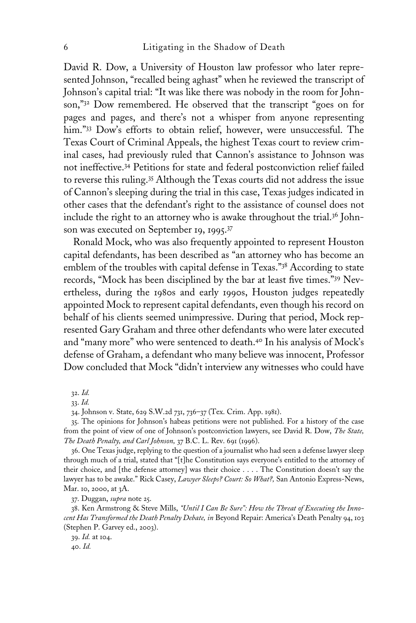David R. Dow, a University of Houston law professor who later represented Johnson, "recalled being aghast" when he reviewed the transcript of Johnson's capital trial: "It was like there was nobody in the room for Johnson,"32 Dow remembered. He observed that the transcript "goes on for pages and pages, and there's not a whisper from anyone representing him."<sup>33</sup> Dow's efforts to obtain relief, however, were unsuccessful. The Texas Court of Criminal Appeals, the highest Texas court to review criminal cases, had previously ruled that Cannon's assistance to Johnson was not ineffective.<sup>34</sup> Petitions for state and federal postconviction relief failed to reverse this ruling.35 Although the Texas courts did not address the issue of Cannon's sleeping during the trial in this case, Texas judges indicated in other cases that the defendant's right to the assistance of counsel does not include the right to an attorney who is awake throughout the trial.<sup>36</sup> Johnson was executed on September 19, 1995.<sup>37</sup>

Ronald Mock, who was also frequently appointed to represent Houston capital defendants, has been described as "an attorney who has become an emblem of the troubles with capital defense in Texas."38 According to state records, "Mock has been disciplined by the bar at least five times."<sup>39</sup> Nevertheless, during the 1980s and early 1990s, Houston judges repeatedly appointed Mock to represent capital defendants, even though his record on behalf of his clients seemed unimpressive. During that period, Mock represented Gary Graham and three other defendants who were later executed and "many more" who were sentenced to death.40 In his analysis of Mock's defense of Graham, a defendant who many believe was innocent, Professor Dow concluded that Mock "didn't interview any witnesses who could have

35. The opinions for Johnson's habeas petitions were not published. For a history of the case from the point of view of one of Johnson's postconviction lawyers, see David R. Dow, *The State, The Death Penalty, and Carl Johnson,* 37 B.C. L. Rev. 691 (1996).

36. One Texas judge, replying to the question of a journalist who had seen a defense lawyer sleep through much of a trial, stated that "[t]he Constitution says everyone's entitled to the attorney of their choice, and [the defense attorney] was their choice . . . . The Constitution doesn't say the lawyer has to be awake." Rick Casey, *Lawyer Sleeps? Court: So What?,* San Antonio Express-News, Mar. 10, 2000, at 3A.

37. Duggan, *supra* note 25.

38. Ken Armstrong & Steve Mills, *"Until I Can Be Sure": How the Threat of Executing the Innocent Has Transformed the Death Penalty Debate, in* Beyond Repair: America's Death Penalty 94, 103 (Stephen P. Garvey ed., 2003).

39. *Id.* at 104. 40. *Id.*

<sup>32.</sup> *Id.*

<sup>33.</sup> *Id.*

<sup>34.</sup> Johnson v. State, 629 S.W.2d 731, 736–37 (Tex. Crim. App. 1981).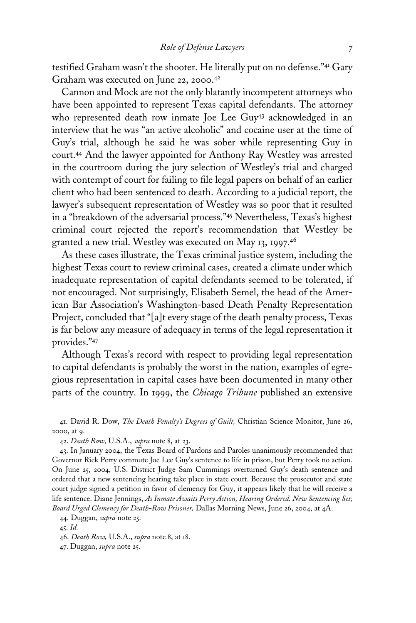testified Graham wasn't the shooter. He literally put on no defense."<sup>41</sup> Gary Graham was executed on June 22, 2000.42

Cannon and Mock are not the only blatantly incompetent attorneys who have been appointed to represent Texas capital defendants. The attorney who represented death row inmate Joe Lee Guy<sup>43</sup> acknowledged in an interview that he was "an active alcoholic" and cocaine user at the time of Guy's trial, although he said he was sober while representing Guy in court.<sup>44</sup> And the lawyer appointed for Anthony Ray Westley was arrested in the courtroom during the jury selection of Westley's trial and charged with contempt of court for failing to file legal papers on behalf of an earlier client who had been sentenced to death. According to a judicial report, the lawyer's subsequent representation of Westley was so poor that it resulted in a "breakdown of the adversarial process."45 Nevertheless, Texas's highest criminal court rejected the report's recommendation that Westley be granted a new trial. Westley was executed on May 13, 1997.46

As these cases illustrate, the Texas criminal justice system, including the highest Texas court to review criminal cases, created a climate under which inadequate representation of capital defendants seemed to be tolerated, if not encouraged. Not surprisingly, Elisabeth Semel, the head of the American Bar Association's Washington-based Death Penalty Representation Project, concluded that "[a]t every stage of the death penalty process, Texas is far below any measure of adequacy in terms of the legal representation it provides."47

Although Texas's record with respect to providing legal representation to capital defendants is probably the worst in the nation, examples of egregious representation in capital cases have been documented in many other parts of the country. In 1999, the *Chicago Tribune* published an extensive

41. David R. Dow, *The Death Penalty's Degrees of Guilt,* Christian Science Monitor, June 26, 2000, at 9.

42. *Death Row,* U.S.A., *supra* note 8, at 23.

43. In January 2004, the Texas Board of Pardons and Paroles unanimously recommended that Governor Rick Perry commute Joe Lee Guy's sentence to life in prison, but Perry took no action. On June 25, 2004, U.S. District Judge Sam Cummings overturned Guy's death sentence and ordered that a new sentencing hearing take place in state court. Because the prosecutor and state court judge signed a petition in favor of clemency for Guy, it appears likely that he will receive a life sentence. Diane Jennings, *As Inmate Awaits Perry Action, Hearing Ordered. New Sentencing Set; Board Urged Clemency for Death-Row Prisoner,* Dallas Morning News, June 26, 2004, at 4A.

44. Duggan, *supra* note 25.

46. *Death Row,* U.S.A., *supra* note 8, at 18.

<sup>45.</sup> *Id.*

<sup>47.</sup> Duggan, *supra* note 25.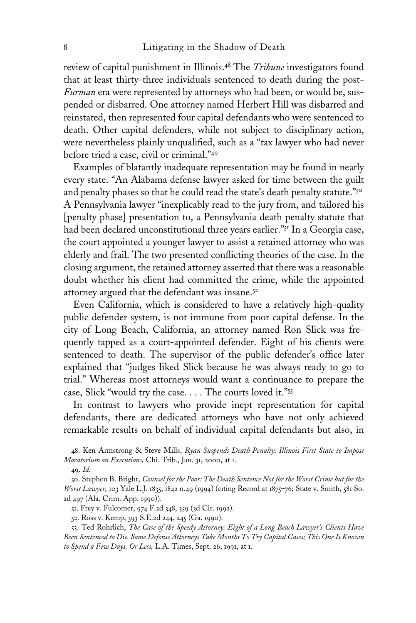review of capital punishment in Illinois.48 The *Tribune* investigators found that at least thirty-three individuals sentenced to death during the post*-Furman* era were represented by attorneys who had been, or would be, suspended or disbarred. One attorney named Herbert Hill was disbarred and reinstated, then represented four capital defendants who were sentenced to death. Other capital defenders, while not subject to disciplinary action, were nevertheless plainly unqualified, such as a "tax lawyer who had never before tried a case, civil or criminal."49

Examples of blatantly inadequate representation may be found in nearly every state. "An Alabama defense lawyer asked for time between the guilt and penalty phases so that he could read the state's death penalty statute."50 A Pennsylvania lawyer "inexplicably read to the jury from, and tailored his [penalty phase] presentation to, a Pennsylvania death penalty statute that had been declared unconstitutional three years earlier."<sup>51</sup> In a Georgia case, the court appointed a younger lawyer to assist a retained attorney who was elderly and frail. The two presented conflicting theories of the case. In the closing argument, the retained attorney asserted that there was a reasonable doubt whether his client had committed the crime, while the appointed attorney argued that the defendant was insane.52

Even California, which is considered to have a relatively high-quality public defender system, is not immune from poor capital defense. In the city of Long Beach, California, an attorney named Ron Slick was frequently tapped as a court-appointed defender. Eight of his clients were sentenced to death. The supervisor of the public defender's office later explained that "judges liked Slick because he was always ready to go to trial." Whereas most attorneys would want a continuance to prepare the case, Slick "would try the case. . . . The courts loved it."53

In contrast to lawyers who provide inept representation for capital defendants, there are dedicated attorneys who have not only achieved remarkable results on behalf of individual capital defendants but also, in

48. Ken Armstrong & Steve Mills, *Ryan Suspends Death Penalty; Illinois First State to Impose Moratorium on Executions,* Chi. Trib., Jan. 31, 2000, at 1.

49. *Id.*

50. Stephen B. Bright, *Counsel for the Poor: The Death Sentence Not for the Worst Crime but for the Worst Lawyer,* 103 Yale L.J. 1835, 1842 n.49 (1994) (citing Record at 1875–76; State v. Smith, 581 So. 2d 497 (Ala. Crim. App. 1990)).

51. Frey v. Fulcomer, 974 F.2d 348, 359 (3d Cir. 1992).

52. Ross v. Kemp, 393 S.E.2d 244, 245 (Ga. 1990).

53. Ted Rohrlich, *The Case of the Speedy Attorney: Eight of a Long Beach Lawyer's Clients Have Been Sentenced to Die. Some Defense Attorneys Take Months To Try Capital Cases; This One Is Known to Spend a Few Days, Or Less,* L.A. Times, Sept. 26, 1991, at 1.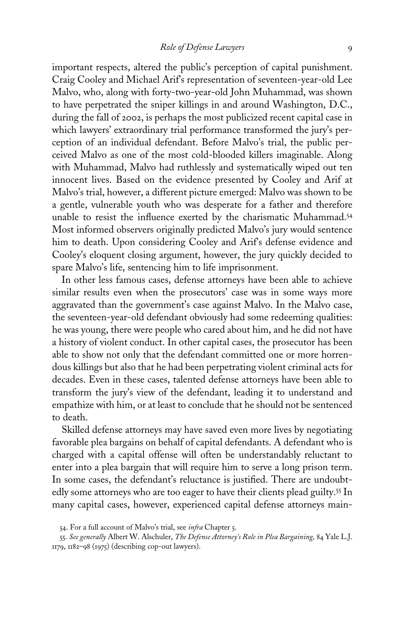important respects, altered the public's perception of capital punishment. Craig Cooley and Michael Arif's representation of seventeen-year-old Lee Malvo, who, along with forty-two-year-old John Muhammad, was shown to have perpetrated the sniper killings in and around Washington, D.C., during the fall of 2002, is perhaps the most publicized recent capital case in which lawyers' extraordinary trial performance transformed the jury's perception of an individual defendant. Before Malvo's trial, the public perceived Malvo as one of the most cold-blooded killers imaginable. Along with Muhammad, Malvo had ruthlessly and systematically wiped out ten innocent lives. Based on the evidence presented by Cooley and Arif at Malvo's trial, however, a different picture emerged: Malvo was shown to be a gentle, vulnerable youth who was desperate for a father and therefore unable to resist the influence exerted by the charismatic Muhammad.<sup>54</sup> Most informed observers originally predicted Malvo's jury would sentence him to death. Upon considering Cooley and Arif's defense evidence and Cooley's eloquent closing argument, however, the jury quickly decided to spare Malvo's life, sentencing him to life imprisonment.

In other less famous cases, defense attorneys have been able to achieve similar results even when the prosecutors' case was in some ways more aggravated than the government's case against Malvo. In the Malvo case, the seventeen-year-old defendant obviously had some redeeming qualities: he was young, there were people who cared about him, and he did not have a history of violent conduct. In other capital cases, the prosecutor has been able to show not only that the defendant committed one or more horrendous killings but also that he had been perpetrating violent criminal acts for decades. Even in these cases, talented defense attorneys have been able to transform the jury's view of the defendant, leading it to understand and empathize with him, or at least to conclude that he should not be sentenced to death.

Skilled defense attorneys may have saved even more lives by negotiating favorable plea bargains on behalf of capital defendants. A defendant who is charged with a capital offense will often be understandably reluctant to enter into a plea bargain that will require him to serve a long prison term. In some cases, the defendant's reluctance is justified. There are undoubtedly some attorneys who are too eager to have their clients plead guilty.<sup>55</sup> In many capital cases, however, experienced capital defense attorneys main-

<sup>54.</sup> For a full account of Malvo's trial, see *infra* Chapter 5.

<sup>55.</sup> *See generally* Albert W. Alschuler, *The Defense Attorney's Role in Plea Bargaining,* 84 Yale L.J. 1179, 1182–98 (1975) (describing cop-out lawyers).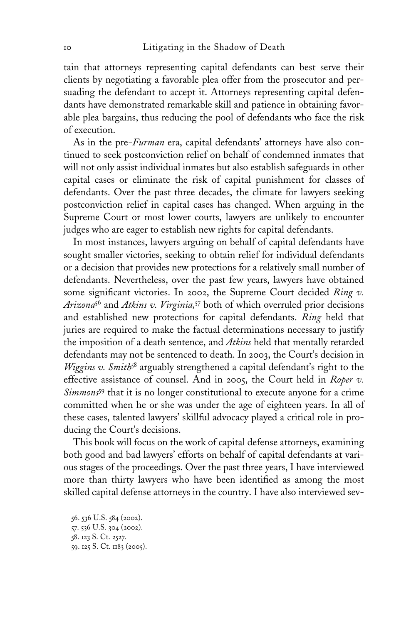tain that attorneys representing capital defendants can best serve their clients by negotiating a favorable plea offer from the prosecutor and persuading the defendant to accept it. Attorneys representing capital defendants have demonstrated remarkable skill and patience in obtaining favorable plea bargains, thus reducing the pool of defendants who face the risk of execution.

As in the pre*-Furman* era, capital defendants' attorneys have also continued to seek postconviction relief on behalf of condemned inmates that will not only assist individual inmates but also establish safeguards in other capital cases or eliminate the risk of capital punishment for classes of defendants. Over the past three decades, the climate for lawyers seeking postconviction relief in capital cases has changed. When arguing in the Supreme Court or most lower courts, lawyers are unlikely to encounter judges who are eager to establish new rights for capital defendants.

In most instances, lawyers arguing on behalf of capital defendants have sought smaller victories, seeking to obtain relief for individual defendants or a decision that provides new protections for a relatively small number of defendants. Nevertheless, over the past few years, lawyers have obtained some significant victories. In 2002, the Supreme Court decided *Ring v*. *Arizona*<sup>56</sup> and *Atkins v. Virginia,*<sup>57</sup> both of which overruled prior decisions and established new protections for capital defendants. *Ring* held that juries are required to make the factual determinations necessary to justify the imposition of a death sentence, and *Atkins* held that mentally retarded defendants may not be sentenced to death. In 2003, the Court's decision in *Wiggins v. Smith*<sup>58</sup> arguably strengthened a capital defendant's right to the effective assistance of counsel. And in 2005, the Court held in *Roper v. Simmons*<sup>59</sup> that it is no longer constitutional to execute anyone for a crime committed when he or she was under the age of eighteen years. In all of these cases, talented lawyers' skillful advocacy played a critical role in producing the Court's decisions.

This book will focus on the work of capital defense attorneys, examining both good and bad lawyers' efforts on behalf of capital defendants at various stages of the proceedings. Over the past three years, I have interviewed more than thirty lawyers who have been identified as among the most skilled capital defense attorneys in the country. I have also interviewed sev-

56. 536 U.S. 584 (2002). 57. 536 U.S. 304 (2002). 58. 123 S. Ct. 2527. 59. 125 S. Ct. 1183 (2005).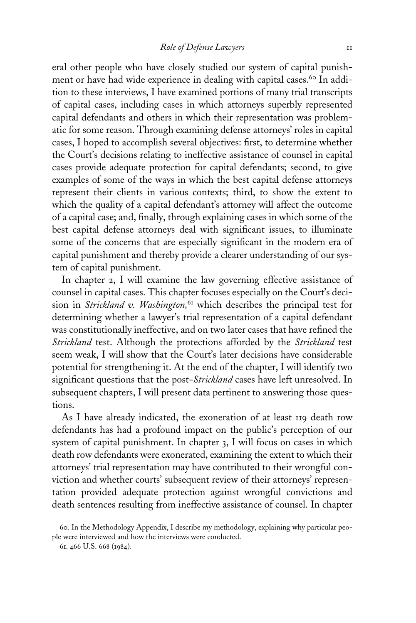eral other people who have closely studied our system of capital punishment or have had wide experience in dealing with capital cases.<sup>60</sup> In addition to these interviews, I have examined portions of many trial transcripts of capital cases, including cases in which attorneys superbly represented capital defendants and others in which their representation was problematic for some reason. Through examining defense attorneys' roles in capital cases, I hoped to accomplish several objectives: first, to determine whether the Court's decisions relating to ineffective assistance of counsel in capital cases provide adequate protection for capital defendants; second, to give examples of some of the ways in which the best capital defense attorneys represent their clients in various contexts; third, to show the extent to which the quality of a capital defendant's attorney will affect the outcome of a capital case; and, finally, through explaining cases in which some of the best capital defense attorneys deal with significant issues, to illuminate some of the concerns that are especially significant in the modern era of capital punishment and thereby provide a clearer understanding of our system of capital punishment.

In chapter 2, I will examine the law governing effective assistance of counsel in capital cases. This chapter focuses especially on the Court's decision in *Strickland v. Washington,*<sup>61</sup> which describes the principal test for determining whether a lawyer's trial representation of a capital defendant was constitutionally ineffective, and on two later cases that have refined the *Strickland* test. Although the protections afforded by the *Strickland* test seem weak, I will show that the Court's later decisions have considerable potential for strengthening it. At the end of the chapter, I will identify two significant questions that the post-Strickland cases have left unresolved. In subsequent chapters, I will present data pertinent to answering those questions.

As I have already indicated, the exoneration of at least 119 death row defendants has had a profound impact on the public's perception of our system of capital punishment. In chapter 3, I will focus on cases in which death row defendants were exonerated, examining the extent to which their attorneys' trial representation may have contributed to their wrongful conviction and whether courts' subsequent review of their attorneys' representation provided adequate protection against wrongful convictions and death sentences resulting from ineffective assistance of counsel. In chapter

<sup>60.</sup> In the Methodology Appendix, I describe my methodology, explaining why particular people were interviewed and how the interviews were conducted.

<sup>61. 466</sup> U.S. 668 (1984).